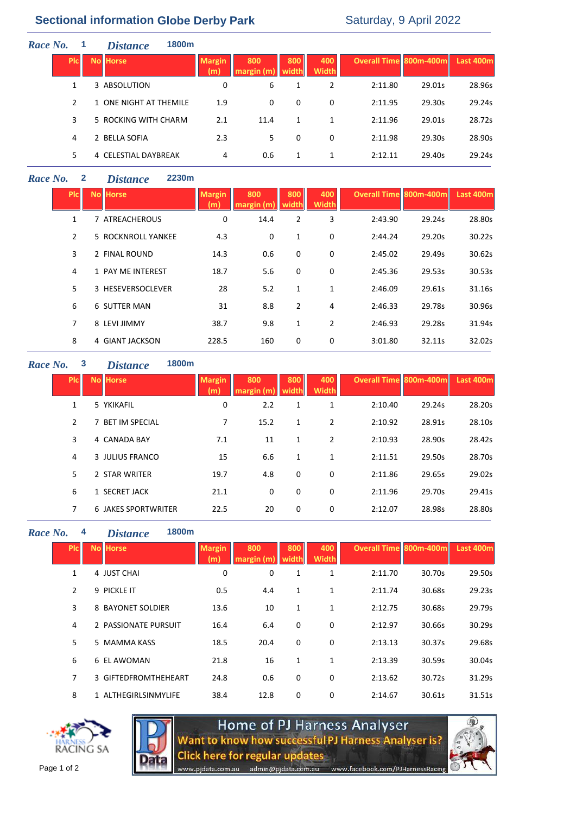# **Sectional information Globe Derby Park** Saturday, 9 April 2022

| Race No. |                | 1800m<br><b>Distance</b> |                      |                   |              |                     |                        |        |           |
|----------|----------------|--------------------------|----------------------|-------------------|--------------|---------------------|------------------------|--------|-----------|
|          | <b>PIC</b>     | <b>No Horse</b>          | <b>Margin</b><br>(m) | 800<br>margin (m) | 800<br>width | 400<br><b>Width</b> | Overall Time 800m-400m |        | Last 400m |
|          |                | 3 ABSOLUTION             | 0                    | 6                 | 1            | 2                   | 2:11.80                | 29.01s | 28.96s    |
|          | $\mathfrak{p}$ | 1 ONE NIGHT AT THEMILE   | 1.9                  | 0                 | 0            | 0                   | 2:11.95                | 29.30s | 29.24s    |
|          | 3              | 5 ROCKING WITH CHARM     | 2.1                  | 11.4              | 1            | 1                   | 2:11.96                | 29.01s | 28.72s    |
|          | 4              | 2 BELLA SOFIA            | 2.3                  | 5.                | 0            | 0                   | 2:11.98                | 29.30s | 28.90s    |
|          | 5.             | 4 CELESTIAL DAYBREAK     | 4                    | 0.6               | 1            | 1                   | 2:12.11                | 29.40s | 29.24s    |
|          |                |                          |                      |                   |              |                     |                        |        |           |

## *Race No.* **2** *Distance* **2230m**

| <b>PIC</b>    | <b>No Horse</b>    | <b>Margin</b><br>(m | 800<br>margin (m) | 800<br>width   | 400<br><b>Width</b> | <b>Overall Time 800m-400m</b> |        | Last 400m |
|---------------|--------------------|---------------------|-------------------|----------------|---------------------|-------------------------------|--------|-----------|
| 1             | 7 ATREACHEROUS     | 0                   | 14.4              | 2              | 3                   | 2:43.90                       | 29.24s | 28.80s    |
| $\mathcal{P}$ | 5 ROCKNROLL YANKEE | 4.3                 | $\mathbf 0$       | 1              | 0                   | 2:44.24                       | 29.20s | 30.22s    |
| 3             | 2 FINAL ROUND      | 14.3                | 0.6               | 0              | 0                   | 2:45.02                       | 29.49s | 30.62s    |
| 4             | 1 PAY ME INTEREST  | 18.7                | 5.6               | 0              | 0                   | 2:45.36                       | 29.53s | 30.53s    |
| 5.            | 3 HESEVERSOCLEVER  | 28                  | 5.2               | 1              | 1                   | 2:46.09                       | 29.61s | 31.16s    |
| 6             | 6 SUTTER MAN       | 31                  | 8.8               | $\overline{2}$ | 4                   | 2:46.33                       | 29.78s | 30.96s    |
| 7             | 8 LEVI JIMMY       | 38.7                | 9.8               | 1              | $\overline{2}$      | 2:46.93                       | 29.28s | 31.94s    |
| 8             | 4 GIANT JACKSON    | 228.5               | 160               | 0              | 0                   | 3:01.80                       | 32.11s | 32.02s    |

### *Race No.* **3** *Distance* **1800m**

| <b>PIc</b>     | <b>No Horse</b>            | <b>Margin</b><br>(m) | 800<br>margin (m) | 800<br>width | 400<br><b>Width</b> | <b>Overall Time 800m-400m</b> |        | Last 400m |
|----------------|----------------------------|----------------------|-------------------|--------------|---------------------|-------------------------------|--------|-----------|
|                | 5 YKIKAFIL                 | 0                    | 2.2               | 1            | 1                   | 2:10.40                       | 29.24s | 28.20s    |
| $\mathcal{P}$  | <b>BET IM SPECIAL</b>      | 7                    | 15.2              | 1            | 2                   | 2:10.92                       | 28.91s | 28.10s    |
| 3              | 4 CANADA BAY               | 7.1                  | 11                | 1            | 2                   | 2:10.93                       | 28.90s | 28.42s    |
| 4              | 3 JULIUS FRANCO            | 15                   | 6.6               | 1            | 1                   | 2:11.51                       | 29.50s | 28.70s    |
| 5              | 2 STAR WRITER              | 19.7                 | 4.8               | 0            | 0                   | 2:11.86                       | 29.65s | 29.02s    |
| 6              | 1 SECRET JACK              | 21.1                 | 0                 | 0            | 0                   | 2:11.96                       | 29.70s | 29.41s    |
| $\overline{7}$ | <b>6 JAKES SPORTWRITER</b> | 22.5                 | 20                | 0            | 0                   | 2:12.07                       | 28.98s | 28.80s    |

### *Race No.* **4** *Distance* **1800m**

| <b>PIc</b>     | <b>No Horse</b>      | <b>Margin</b><br>(m) | 800<br>margin (m | 800<br>width | 400<br><b>Width</b> | <b>Overall Time 800m-400m</b> |        | Last 400m |
|----------------|----------------------|----------------------|------------------|--------------|---------------------|-------------------------------|--------|-----------|
| $\mathbf{1}$   | 4 JUST CHAI          | 0                    | 0                | 1            | 1                   | 2:11.70                       | 30.70s | 29.50s    |
| $\overline{2}$ | 9 PICKLE IT          | 0.5                  | 4.4              | $\mathbf{1}$ | 1                   | 2:11.74                       | 30.68s | 29.23s    |
| 3              | 8 BAYONET SOLDIER    | 13.6                 | 10               | $\mathbf{1}$ | 1                   | 2:12.75                       | 30.68s | 29.79s    |
| 4              | 2 PASSIONATE PURSUIT | 16.4                 | 6.4              | 0            | 0                   | 2:12.97                       | 30.66s | 30.29s    |
| 5              | 5 MAMMA KASS         | 18.5                 | 20.4             | 0            | 0                   | 2:13.13                       | 30.37s | 29.68s    |
| 6              | 6 EL AWOMAN          | 21.8                 | 16               | 1            | 1                   | 2:13.39                       | 30.59s | 30.04s    |
| $\overline{7}$ | 3 GIFTEDFROMTHEHEART | 24.8                 | 0.6              | 0            | 0                   | 2:13.62                       | 30.72s | 31.29s    |
| 8              | 1 ALTHEGIRLSINMYLIFE | 38.4                 | 12.8             | 0            | 0                   | 2:14.67                       | 30.61s | 31.51s    |
|                |                      |                      |                  |              |                     |                               |        |           |





www.pjdata.com.au

Home of PJ Harness Analyser<br>Want to know how successful PJ Harness Analyser is? **Click here for regular updates** 

admin@pjdata.com.au www.facebook.com/PJHarnessRacing